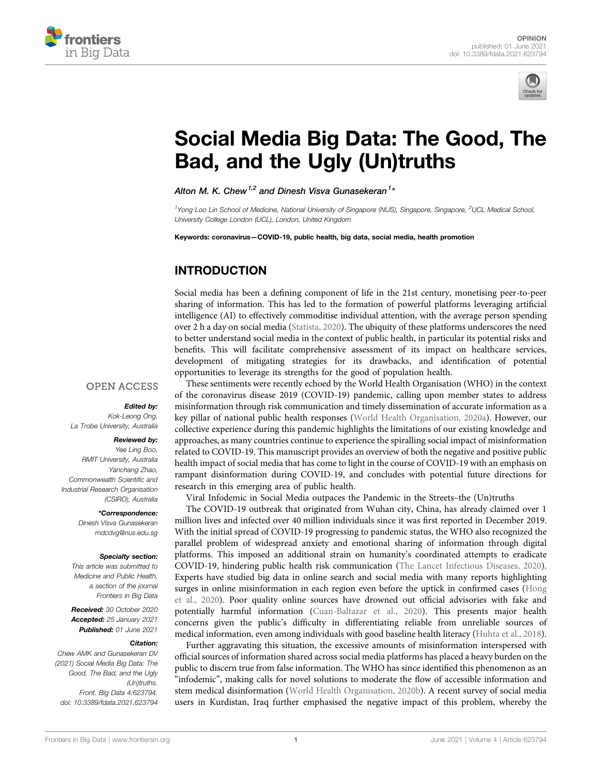



# [Social Media Big Data: The Good, The](https://www.frontiersin.org/articles/10.3389/fdata.2021.623794/full) [Bad, and the Ugly \(Un\)truths](https://www.frontiersin.org/articles/10.3389/fdata.2021.623794/full)

Alton M. K. Chew<sup>1,2</sup> and Dinesh Visva Gunasekeran<sup>1</sup>\*

<sup>1</sup>Yong Loo Lin School of Medicine, National University of Singapore (NUS), Singapore, Singapore, <sup>2</sup>UCL Medical School, University College London (UCL), London, United Kingdom

Keywords: coronavirus—COVID-19, public health, big data, social media, health promotion

# INTRODUCTION

Social media has been a defining component of life in the 21st century, monetising peer-to-peer sharing of information. This has led to the formation of powerful platforms leveraging artificial intelligence (AI) to effectively commoditise individual attention, with the average person spending over 2 h a day on social media ([Statista, 2020](#page-2-0)). The ubiquity of these platforms underscores the need to better understand social media in the context of public health, in particular its potential risks and benefits. This will facilitate comprehensive assessment of its impact on healthcare services, development of mitigating strategies for its drawbacks, and identification of potential opportunities to leverage its strengths for the good of population health.

#### **OPEN ACCESS**

#### Edited by:

Kok-Leong Ong, La Trobe University, Australia

#### Reviewed by:

Yee Ling Boo, RMIT University, Australia Yanchang Zhao, Commonwealth Scientific and Industrial Research Organisation (CSIRO), Australia

#### \*Correspondence:

Dinesh Visva Gunasekeran [mdcdvg@nus.edu.sg](mailto:mdcdvg@nus.edu.sg)

#### Specialty section:

This article was submitted to Medicine and Public Health, a section of the journal Frontiers in Big Data

Received: 30 October 2020 Accepted: 25 January 2021 Published: 01 June 2021

#### Citation:

Chew AMK and Gunasekeran DV (2021) Social Media Big Data: The Good, The Bad, and the Ugly (Un)truths. Front. Big Data 4:623794. doi: [10.3389/fdata.2021.623794](https://doi.org/10.3389/fdata.2021.623794)

These sentiments were recently echoed by the World Health Organisation (WHO) in the context of the coronavirus disease 2019 (COVID-19) pandemic, calling upon member states to address misinformation through risk communication and timely dissemination of accurate information as a key pillar of national public health responses ([World Health Organisation, 2020a](#page-3-0)). However, our collective experience during this pandemic highlights the limitations of our existing knowledge and approaches, as many countries continue to experience the spiralling social impact of misinformation related to COVID-19. This manuscript provides an overview of both the negative and positive public health impact of social media that has come to light in the course of COVID-19 with an emphasis on rampant disinformation during COVID-19, and concludes with potential future directions for research in this emerging area of public health.

Viral Infodemic in Social Media outpaces the Pandemic in the Streets–the (Un)truths

The COVID-19 outbreak that originated from Wuhan city, China, has already claimed over 1 million lives and infected over 40 million individuals since it was first reported in December 2019. With the initial spread of COVID-19 progressing to pandemic status, the WHO also recognized the parallel problem of widespread anxiety and emotional sharing of information through digital platforms. This imposed an additional strain on humanity's coordinated attempts to eradicate COVID-19, hindering public health risk communication ([The Lancet Infectious Diseases, 2020\)](#page-3-1). Experts have studied big data in online search and social media with many reports highlighting surges in online misinformation in each region even before the uptick in confirmed cases ([Hong](#page-2-1) [et al., 2020\)](#page-2-1). Poor quality online sources have drowned out official advisories with fake and potentially harmful information ([Cuan-Baltazar et al., 2020\)](#page-2-2). This presents major health concerns given the public's difficulty in differentiating reliable from unreliable sources of medical information, even among individuals with good baseline health literacy ([Huhta et al., 2018\)](#page-2-3).

Further aggravating this situation, the excessive amounts of misinformation interspersed with official sources of information shared across social media platforms has placed a heavy burden on the public to discern true from false information. The WHO has since identified this phenomenon as an "infodemic", making calls for novel solutions to moderate the flow of accessible information and stem medical disinformation ([World Health Organisation, 2020b\)](#page-3-2). A recent survey of social media users in Kurdistan, Iraq further emphasised the negative impact of this problem, whereby the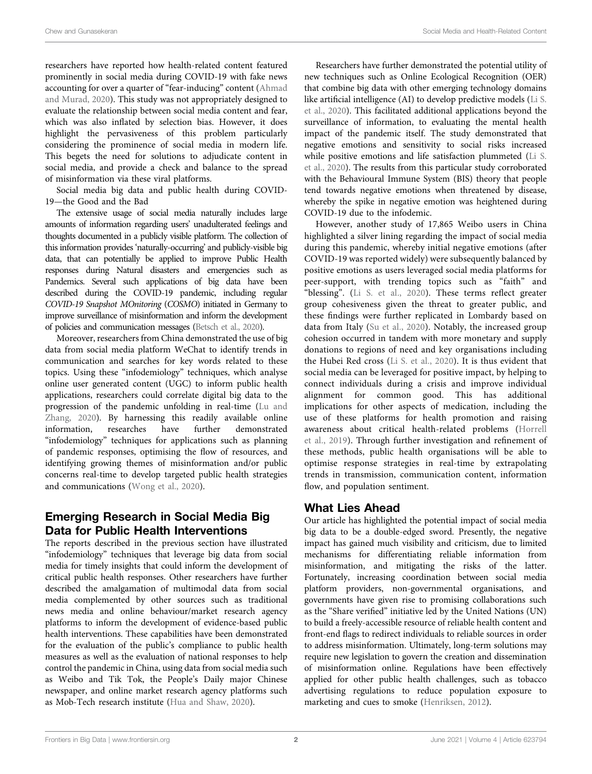researchers have reported how health-related content featured prominently in social media during COVID-19 with fake news accounting for over a quarter of "fear-inducing" content ([Ahmad](#page-2-4) [and Murad, 2020\)](#page-2-4). This study was not appropriately designed to evaluate the relationship between social media content and fear, which was also inflated by selection bias. However, it does highlight the pervasiveness of this problem particularly considering the prominence of social media in modern life. This begets the need for solutions to adjudicate content in social media, and provide a check and balance to the spread of misinformation via these viral platforms.

Social media big data and public health during COVID-19—the Good and the Bad

The extensive usage of social media naturally includes large amounts of information regarding users' unadulterated feelings and thoughts documented in a publicly visible platform. The collection of this information provides 'naturally-occurring' and publicly-visible big data, that can potentially be applied to improve Public Health responses during Natural disasters and emergencies such as Pandemics. Several such applications of big data have been described during the COVID-19 pandemic, including regular COVID-19 Snapshot MOnitoring (COSMO) initiated in Germany to improve surveillance of misinformation and inform the development of policies and communication messages [\(Betsch et al., 2020](#page-2-5)).

Moreover, researchers from China demonstrated the use of big data from social media platform WeChat to identify trends in communication and searches for key words related to these topics. Using these "infodemiology" techniques, which analyse online user generated content (UGC) to inform public health applications, researchers could correlate digital big data to the progression of the pandemic unfolding in real-time [\(Lu and](#page-2-6) [Zhang, 2020\)](#page-2-6). By harnessing this readily available online information, researches have further demonstrated "infodemiology" techniques for applications such as planning of pandemic responses, optimising the flow of resources, and identifying growing themes of misinformation and/or public concerns real-time to develop targeted public health strategies and communications [\(Wong et al., 2020\)](#page-3-3).

# Emerging Research in Social Media Big Data for Public Health Interventions

The reports described in the previous section have illustrated "infodemiology" techniques that leverage big data from social media for timely insights that could inform the development of critical public health responses. Other researchers have further described the amalgamation of multimodal data from social media complemented by other sources such as traditional news media and online behaviour/market research agency platforms to inform the development of evidence-based public health interventions. These capabilities have been demonstrated for the evaluation of the public's compliance to public health measures as well as the evaluation of national responses to help control the pandemic in China, using data from social media such as Weibo and Tik Tok, the People's Daily major Chinese newspaper, and online market research agency platforms such as Mob-Tech research institute ([Hua and Shaw, 2020](#page-2-7)).

Researchers have further demonstrated the potential utility of new techniques such as Online Ecological Recognition (OER) that combine big data with other emerging technology domains like artificial intelligence (AI) to develop predictive models [\(Li S.](#page-2-8) [et al., 2020](#page-2-8)). This facilitated additional applications beyond the surveillance of information, to evaluating the mental health impact of the pandemic itself. The study demonstrated that negative emotions and sensitivity to social risks increased while positive emotions and life satisfaction plummeted [\(Li S.](#page-2-8) [et al., 2020](#page-2-8)). The results from this particular study corroborated with the Behavioural Immune System (BIS) theory that people tend towards negative emotions when threatened by disease, whereby the spike in negative emotion was heightened during COVID-19 due to the infodemic.

However, another study of 17,865 Weibo users in China highlighted a silver lining regarding the impact of social media during this pandemic, whereby initial negative emotions (after COVID-19 was reported widely) were subsequently balanced by positive emotions as users leveraged social media platforms for peer-support, with trending topics such as "faith" and "blessing". [\(Li S. et al., 2020\)](#page-2-8). These terms reflect greater group cohesiveness given the threat to greater public, and these findings were further replicated in Lombardy based on data from Italy ([Su et al., 2020\)](#page-3-4). Notably, the increased group cohesion occurred in tandem with more monetary and supply donations to regions of need and key organisations including the Hubei Red cross ([Li S. et al., 2020](#page-2-8)). It is thus evident that social media can be leveraged for positive impact, by helping to connect individuals during a crisis and improve individual alignment for common good. This has additional implications for other aspects of medication, including the use of these platforms for health promotion and raising awareness about critical health-related problems ([Horrell](#page-2-9) [et al., 2019](#page-2-9)). Through further investigation and refinement of these methods, public health organisations will be able to optimise response strategies in real-time by extrapolating trends in transmission, communication content, information flow, and population sentiment.

# What Lies Ahead

Our article has highlighted the potential impact of social media big data to be a double-edged sword. Presently, the negative impact has gained much visibility and criticism, due to limited mechanisms for differentiating reliable information from misinformation, and mitigating the risks of the latter. Fortunately, increasing coordination between social media platform providers, non-governmental organisations, and governments have given rise to promising collaborations such as the "Share verified" initiative led by the United Nations (UN) to build a freely-accessible resource of reliable health content and front-end flags to redirect individuals to reliable sources in order to address misinformation. Ultimately, long-term solutions may require new legislation to govern the creation and dissemination of misinformation online. Regulations have been effectively applied for other public health challenges, such as tobacco advertising regulations to reduce population exposure to marketing and cues to smoke [\(Henriksen, 2012\)](#page-2-10).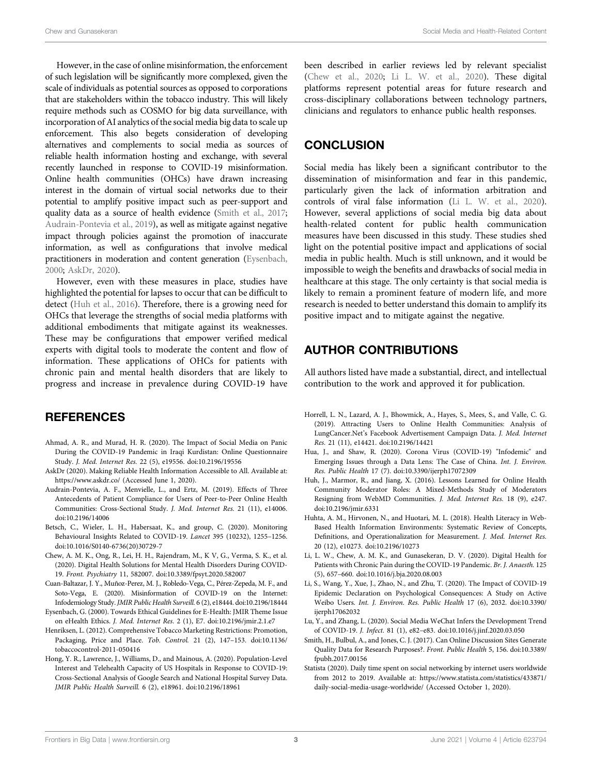However, in the case of online misinformation, the enforcement of such legislation will be significantly more complexed, given the scale of individuals as potential sources as opposed to corporations that are stakeholders within the tobacco industry. This will likely require methods such as COSMO for big data surveillance, with incorporation of AI analytics of the social media big data to scale up enforcement. This also begets consideration of developing alternatives and complements to social media as sources of reliable health information hosting and exchange, with several recently launched in response to COVID-19 misinformation. Online health communities (OHCs) have drawn increasing interest in the domain of virtual social networks due to their potential to amplify positive impact such as peer-support and quality data as a source of health evidence [\(Smith et al., 2017](#page-2-11); [Audrain-Pontevia et al., 2019\)](#page-2-12), as well as mitigate against negative impact through policies against the promotion of inaccurate information, as well as configurations that involve medical practitioners in moderation and content generation [\(Eysenbach,](#page-2-13) [2000](#page-2-13); [AskDr, 2020](#page-2-14)).

However, even with these measures in place, studies have highlighted the potential for lapses to occur that can be difficult to detect ([Huh et al., 2016](#page-2-15)). Therefore, there is a growing need for OHCs that leverage the strengths of social media platforms with additional embodiments that mitigate against its weaknesses. These may be configurations that empower verified medical experts with digital tools to moderate the content and flow of information. These applications of OHCs for patients with chronic pain and mental health disorders that are likely to progress and increase in prevalence during COVID-19 have

## **REFERENCES**

- <span id="page-2-4"></span>Ahmad, A. R., and Murad, H. R. (2020). The Impact of Social Media on Panic During the COVID-19 Pandemic in Iraqi Kurdistan: Online Questionnaire Study. J. Med. Internet Res. 22 (5), e19556. doi:[10.2196/19556](https://doi.org/10.2196/19556)
- <span id="page-2-14"></span>AskDr (2020). Making Reliable Health Information Accessible to All. Available at: <https://www.askdr.co/> (Accessed June 1, 2020).
- <span id="page-2-12"></span>Audrain-Pontevia, A. F., Menvielle, L., and Ertz, M. (2019). Effects of Three Antecedents of Patient Compliance for Users of Peer-to-Peer Online Health Communities: Cross-Sectional Study. J. Med. Internet Res. 21 (11), e14006. doi:[10.2196/14006](https://doi.org/10.2196/14006)
- <span id="page-2-5"></span>Betsch, C., Wieler, L. H., Habersaat, K., and group, C. (2020). Monitoring Behavioural Insights Related to COVID-19. Lancet 395 (10232), 1255–1256. doi:[10.1016/S0140-6736\(20\)30729-7](https://doi.org/10.1016/S0140-6736(20)30729-7)
- <span id="page-2-16"></span>Chew, A. M. K., Ong, R., Lei, H. H., Rajendram, M., K V, G., Verma, S. K., et al. (2020). Digital Health Solutions for Mental Health Disorders During COVID-19. Front. Psychiatry 11, 582007. doi[:10.3389/fpsyt.2020.582007](https://doi.org/10.3389/fpsyt.2020.582007)
- <span id="page-2-2"></span>Cuan-Baltazar, J. Y., Muñoz-Perez, M. J., Robledo-Vega, C., Pérez-Zepeda, M. F., and Soto-Vega, E. (2020). Misinformation of COVID-19 on the Internet: Infodemiology Study. JMIR Public Health Surveill. 6 (2), e18444. doi[:10.2196/18444](https://doi.org/10.2196/18444)
- <span id="page-2-13"></span>Eysenbach, G. (2000). Towards Ethical Guidelines for E-Health: JMIR Theme Issue on eHealth Ethics. J. Med. Internet Res. 2 (1), E7. doi:[10.2196/jmir.2.1.e7](https://doi.org/10.2196/jmir.2.1.e7)
- <span id="page-2-10"></span>Henriksen, L. (2012). Comprehensive Tobacco Marketing Restrictions: Promotion, Packaging, Price and Place. Tob. Control. 21 (2), 147–153. doi:[10.1136/](https://doi.org/10.1136/tobaccocontrol-2011-050416) [tobaccocontrol-2011-050416](https://doi.org/10.1136/tobaccocontrol-2011-050416)
- <span id="page-2-1"></span>Hong, Y. R., Lawrence, J., Williams, D., and Mainous, A. (2020). Population-Level Interest and Telehealth Capacity of US Hospitals in Response to COVID-19: Cross-Sectional Analysis of Google Search and National Hospital Survey Data. JMIR Public Health Surveill. 6 (2), e18961. doi[:10.2196/18961](https://doi.org/10.2196/18961)

been described in earlier reviews led by relevant specialist [\(Chew et al., 2020](#page-2-16); [Li L. W. et al., 2020](#page-2-17)). These digital platforms represent potential areas for future research and cross-disciplinary collaborations between technology partners, clinicians and regulators to enhance public health responses.

### **CONCLUSION**

Social media has likely been a significant contributor to the dissemination of misinformation and fear in this pandemic, particularly given the lack of information arbitration and controls of viral false information ([Li L. W. et al., 2020\)](#page-2-17). However, several applictions of social media big data about health-related content for public health communication measures have been discussed in this study. These studies shed light on the potential positive impact and applications of social media in public health. Much is still unknown, and it would be impossible to weigh the benefits and drawbacks of social media in healthcare at this stage. The only certainty is that social media is likely to remain a prominent feature of modern life, and more research is needed to better understand this domain to amplify its positive impact and to mitigate against the negative.

## AUTHOR CONTRIBUTIONS

All authors listed have made a substantial, direct, and intellectual contribution to the work and approved it for publication.

- <span id="page-2-9"></span>Horrell, L. N., Lazard, A. J., Bhowmick, A., Hayes, S., Mees, S., and Valle, C. G. (2019). Attracting Users to Online Health Communities: Analysis of LungCancer.Net's Facebook Advertisement Campaign Data. J. Med. Internet Res. 21 (11), e14421. doi:[10.2196/14421](https://doi.org/10.2196/14421)
- <span id="page-2-7"></span>Hua, J., and Shaw, R. (2020). Corona Virus (COVID-19) "Infodemic" and Emerging Issues through a Data Lens: The Case of China. Int. J. Environ. Res. Public Health 17 (7). doi[:10.3390/ijerph17072309](https://doi.org/10.3390/ijerph17072309)
- <span id="page-2-15"></span>Huh, J., Marmor, R., and Jiang, X. (2016). Lessons Learned for Online Health Community Moderator Roles: A Mixed-Methods Study of Moderators Resigning from WebMD Communities. J. Med. Internet Res. 18 (9), e247. doi[:10.2196/jmir.6331](https://doi.org/10.2196/jmir.6331)
- <span id="page-2-3"></span>Huhta, A. M., Hirvonen, N., and Huotari, M. L. (2018). Health Literacy in Web-Based Health Information Environments: Systematic Review of Concepts, Definitions, and Operationalization for Measurement. J. Med. Internet Res. 20 (12), e10273. doi:[10.2196/10273](https://doi.org/10.2196/10273)
- <span id="page-2-17"></span>Li, L. W., Chew, A. M. K., and Gunasekeran, D. V. (2020). Digital Health for Patients with Chronic Pain during the COVID-19 Pandemic. Br. J. Anaesth. 125 (5), 657–660. doi:[10.1016/j.bja.2020.08.003](https://doi.org/10.1016/j.bja.2020.08.003)
- <span id="page-2-8"></span>Li, S., Wang, Y., Xue, J., Zhao, N., and Zhu, T. (2020). The Impact of COVID-19 Epidemic Declaration on Psychological Consequences: A Study on Active Weibo Users. Int. J. Environ. Res. Public Health 17 (6), 2032. doi[:10.3390/](https://doi.org/10.3390/ijerph17062032) [ijerph17062032](https://doi.org/10.3390/ijerph17062032)
- <span id="page-2-6"></span>Lu, Y., and Zhang, L. (2020). Social Media WeChat Infers the Development Trend of COVID-19. J. Infect. 81 (1), e82–e83. doi:[10.1016/j.jinf.2020.03.050](https://doi.org/10.1016/j.jinf.2020.03.050)
- <span id="page-2-11"></span>Smith, H., Bulbul, A., and Jones, C. J. (2017). Can Online Discussion Sites Generate Quality Data for Research Purposes?. Front. Public Health 5, 156. doi[:10.3389/](https://doi.org/10.3389/fpubh.2017.00156) [fpubh.2017.00156](https://doi.org/10.3389/fpubh.2017.00156)
- <span id="page-2-0"></span>Statista (2020). Daily time spent on social networking by internet users worldwide from 2012 to 2019. Available at: [https://www.statista.com/statistics/433871/](https://www.statista.com/statistics/433871/daily-social-media-usage-worldwide/) [daily-social-media-usage-worldwide/](https://www.statista.com/statistics/433871/daily-social-media-usage-worldwide/) (Accessed October 1, 2020).